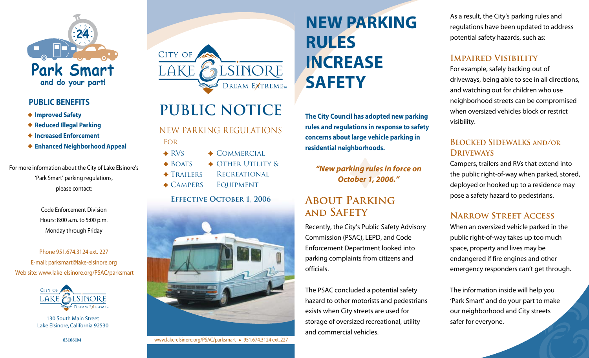

#### **PUBLIC BENEFITS**

- **Improved Safety**
- **Reduced Illegal Parking**
- **Increased Enforcement**
- **Enhanced Neighborhood Appeal**

For more information about the City of Lake Elsinore's 'Park Smart' parking regulations, please contact:

> Code Enforcement Division Hours: 8:00 a.m. to 5:00 p.m. Monday through Friday

Phone 951.674.3124 ext. 227 E-mail: parksmart@lake-elsinore.org Web site: www.lake-elsinore.org/PSAC/parksmart



130 South Main Street Lake Elsinore, California 92530



# **PUBLIC NOTICE**

NEW PARKING REGULATIONS For

- **★ RVS**  $\triangle$  BOATS  $\triangle$  COMMERCIAL ◆ OTHER UTILITY & **RECREATIONAL**
- ◆ TRAILERS
- ◆ CAMPERS Equipment

**Effective October 1, 2006**



www.lake-elsinore.org/PSAC/parksmart + 951.674.3124 ext. 227

# **NEW PARKING RULES INCREASE SAFETY**

**The City Council has adopted new parking rules and regulations in response to safety concerns about large vehicle parking in residential neighborhoods.**

*"New parking rules in force on October 1, 2006."*

## **About Parking and Safety**

Recently, the City's Public Safety Advisory Commission (PSAC), LEPD, and Code Enforcement Department looked into parking complaints from citizens and officials.

The PSAC concluded a potential safety hazard to other motorists and pedestrians exists when City streets are used for storage of oversized recreational, utility and commercial vehicles.

As a result, the City's parking rules and regulations have been updated to address potential safety hazards, such as:

#### **Impaired Visibility**

For example, safely backing out of driveways, being able to see in all directions, and watching out for children who use neighborhood streets can be compromised when oversized vehicles block or restrict visibility.

### **Blocked Sidewalks and/or Driveways**

Campers, trailers and RVs that extend into the public right-of-way when parked, stored, deployed or hooked up to a residence may pose a safety hazard to pedestrians.

### **Narrow Street Access**

When an oversized vehicle parked in the public right-of-way takes up too much space, property and lives may be endangered if fire engines and other emergency responders can't get through.

The information inside will help you 'Park Smart' and do your part to make our neighborhood and City streets safer for everyone.